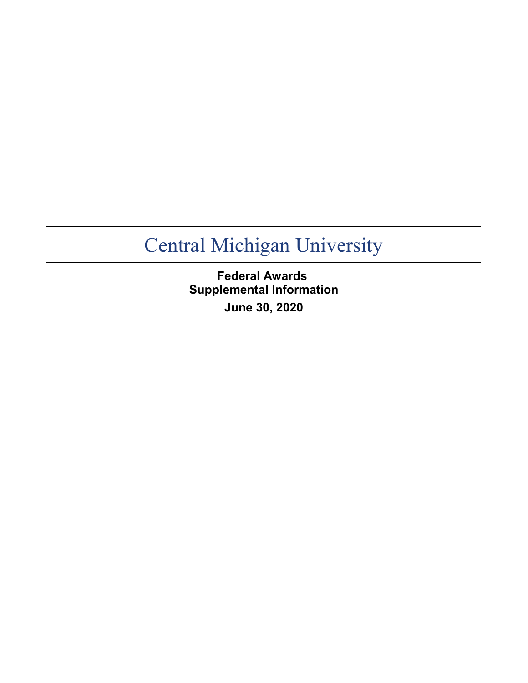**Federal Awards Supplemental Information June 30, 2020**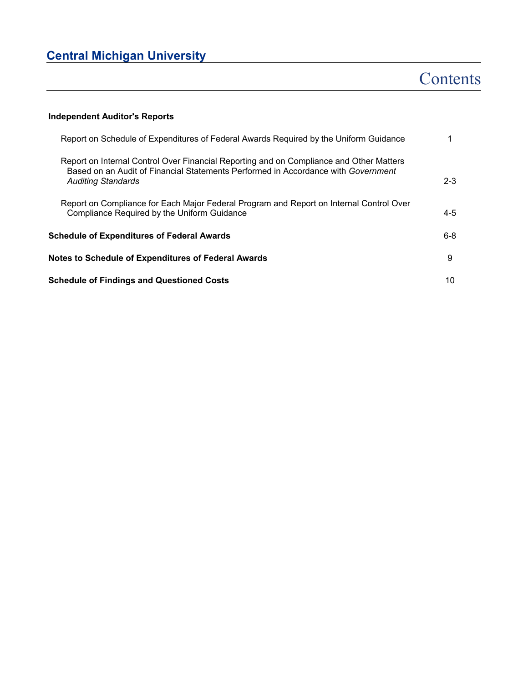# **Contents**

### **Independent Auditor's Reports**

| Report on Schedule of Expenditures of Federal Awards Required by the Uniform Guidance                                                                                                                     |         |
|-----------------------------------------------------------------------------------------------------------------------------------------------------------------------------------------------------------|---------|
| Report on Internal Control Over Financial Reporting and on Compliance and Other Matters<br>Based on an Audit of Financial Statements Performed in Accordance with Government<br><b>Auditing Standards</b> | $2 - 3$ |
| Report on Compliance for Each Major Federal Program and Report on Internal Control Over<br>Compliance Required by the Uniform Guidance                                                                    | $4 - 5$ |
| <b>Schedule of Expenditures of Federal Awards</b>                                                                                                                                                         | 6-8     |
| Notes to Schedule of Expenditures of Federal Awards                                                                                                                                                       | 9       |
| <b>Schedule of Findings and Questioned Costs</b>                                                                                                                                                          | 10      |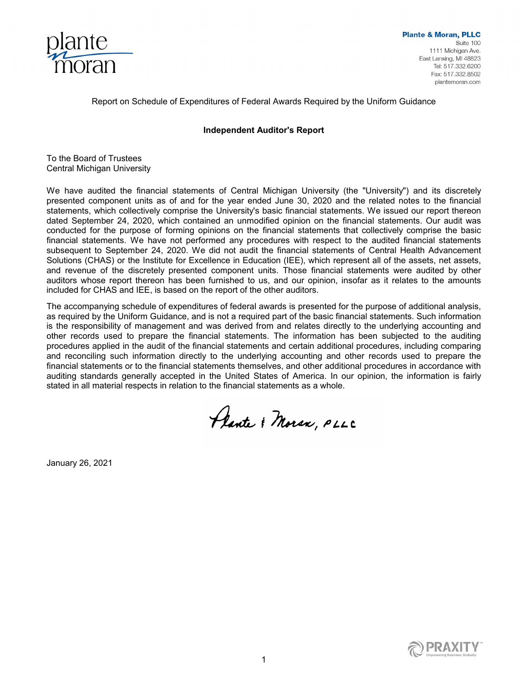

Report on Schedule of Expenditures of Federal Awards Required by the Uniform Guidance

### **Independent Auditor's Report**

To the Board of Trustees Central Michigan University

We have audited the financial statements of Central Michigan University (the "University") and its discretely presented component units as of and for the year ended June 30, 2020 and the related notes to the financial statements, which collectively comprise the University's basic financial statements. We issued our report thereon dated September 24, 2020, which contained an unmodified opinion on the financial statements. Our audit was conducted for the purpose of forming opinions on the financial statements that collectively comprise the basic financial statements. We have not performed any procedures with respect to the audited financial statements subsequent to September 24, 2020. We did not audit the financial statements of Central Health Advancement Solutions (CHAS) or the Institute for Excellence in Education (IEE), which represent all of the assets, net assets, and revenue of the discretely presented component units. Those financial statements were audited by other auditors whose report thereon has been furnished to us, and our opinion, insofar as it relates to the amounts included for CHAS and IEE, is based on the report of the other auditors.

The accompanying schedule of expenditures of federal awards is presented for the purpose of additional analysis, as required by the Uniform Guidance, and is not a required part of the basic financial statements. Such information is the responsibility of management and was derived from and relates directly to the underlying accounting and other records used to prepare the financial statements. The information has been subjected to the auditing procedures applied in the audit of the financial statements and certain additional procedures, including comparing and reconciling such information directly to the underlying accounting and other records used to prepare the financial statements or to the financial statements themselves, and other additional procedures in accordance with auditing standards generally accepted in the United States of America. In our opinion, the information is fairly stated in all material respects in relation to the financial statements as a whole.

Plante & Moran, PLLC

January 26, 2021

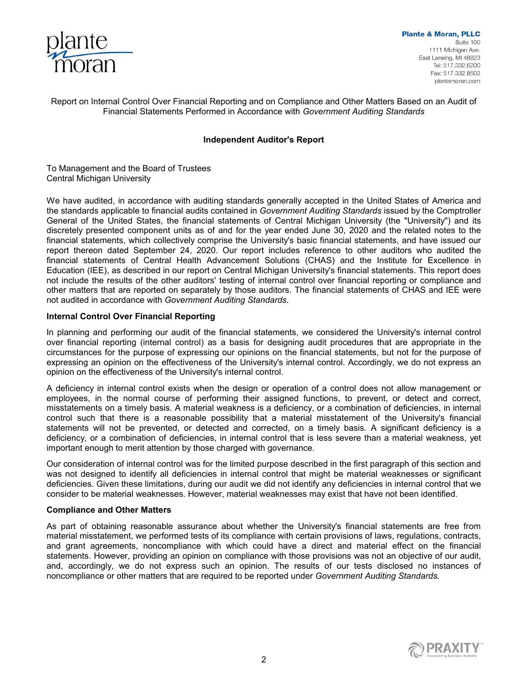

Report on Internal Control Over Financial Reporting and on Compliance and Other Matters Based on an Audit of Financial Statements Performed in Accordance with *Government Auditing Standards*

### **Independent Auditor's Report**

To Management and the Board of Trustees Central Michigan University

We have audited, in accordance with auditing standards generally accepted in the United States of America and the standards applicable to financial audits contained in *Government Auditing Standards* issued by the Comptroller General of the United States, the financial statements of Central Michigan University (the "University") and its discretely presented component units as of and for the year ended June 30, 2020 and the related notes to the financial statements, which collectively comprise the University's basic financial statements, and have issued our report thereon dated September 24, 2020. Our report includes reference to other auditors who audited the financial statements of Central Health Advancement Solutions (CHAS) and the Institute for Excellence in Education (IEE), as described in our report on Central Michigan University's financial statements. This report does not include the results of the other auditors' testing of internal control over financial reporting or compliance and other matters that are reported on separately by those auditors. The financial statements of CHAS and IEE were not audited in accordance with *Government Auditing Standards*.

### **Internal Control Over Financial Reporting**

In planning and performing our audit of the financial statements, we considered the University's internal control over financial reporting (internal control) as a basis for designing audit procedures that are appropriate in the circumstances for the purpose of expressing our opinions on the financial statements, but not for the purpose of expressing an opinion on the effectiveness of the University's internal control. Accordingly, we do not express an opinion on the effectiveness of the University's internal control.

A deficiency in internal control exists when the design or operation of a control does not allow management or employees, in the normal course of performing their assigned functions, to prevent, or detect and correct, misstatements on a timely basis. A material weakness is a deficiency, or a combination of deficiencies, in internal control such that there is a reasonable possibility that a material misstatement of the University's financial statements will not be prevented, or detected and corrected, on a timely basis. A significant deficiency is a deficiency, or a combination of deficiencies, in internal control that is less severe than a material weakness, yet important enough to merit attention by those charged with governance.

Our consideration of internal control was for the limited purpose described in the first paragraph of this section and was not designed to identify all deficiencies in internal control that might be material weaknesses or significant deficiencies. Given these limitations, during our audit we did not identify any deficiencies in internal control that we consider to be material weaknesses. However, material weaknesses may exist that have not been identified.

### **Compliance and Other Matters**

As part of obtaining reasonable assurance about whether the University's financial statements are free from material misstatement, we performed tests of its compliance with certain provisions of laws, regulations, contracts, and grant agreements, noncompliance with which could have a direct and material effect on the financial statements. However, providing an opinion on compliance with those provisions was not an objective of our audit, and, accordingly, we do not express such an opinion. The results of our tests disclosed no instances of noncompliance or other matters that are required to be reported under *Government Auditing Standards.* 

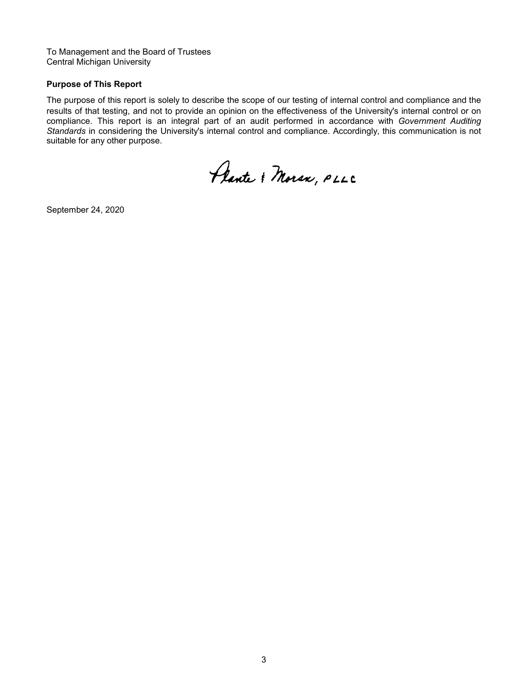To Management and the Board of Trustees Central Michigan University

### **Purpose of This Report**

The purpose of this report is solely to describe the scope of our testing of internal control and compliance and the results of that testing, and not to provide an opinion on the effectiveness of the University's internal control or on compliance. This report is an integral part of an audit performed in accordance with *Government Auditing Standards* in considering the University's internal control and compliance. Accordingly, this communication is not suitable for any other purpose.

Plante & Moran, PLLC

September 24, 2020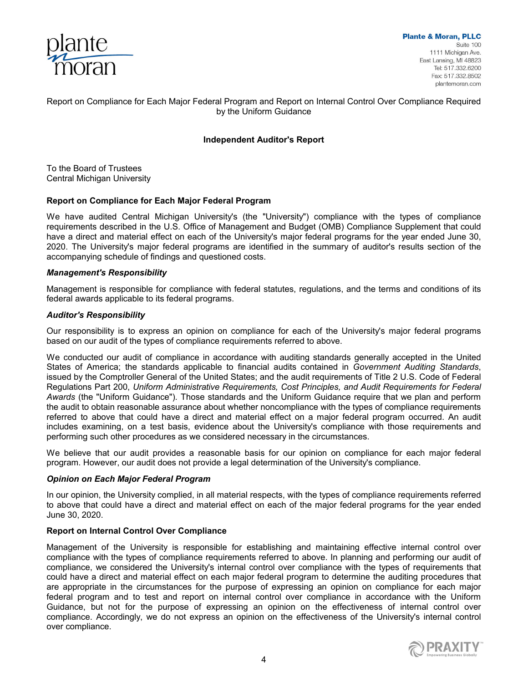

### Report on Compliance for Each Major Federal Program and Report on Internal Control Over Compliance Required by the Uniform Guidance

### **Independent Auditor's Report**

To the Board of Trustees Central Michigan University

#### **Report on Compliance for Each Major Federal Program**

We have audited Central Michigan University's (the "University") compliance with the types of compliance requirements described in the U.S. Office of Management and Budget (OMB) Compliance Supplement that could have a direct and material effect on each of the University's major federal programs for the year ended June 30, 2020. The University's major federal programs are identified in the summary of auditor's results section of the accompanying schedule of findings and questioned costs.

#### *Management's Responsibility*

Management is responsible for compliance with federal statutes, regulations, and the terms and conditions of its federal awards applicable to its federal programs.

#### *Auditor's Responsibility*

Our responsibility is to express an opinion on compliance for each of the University's major federal programs based on our audit of the types of compliance requirements referred to above.

We conducted our audit of compliance in accordance with auditing standards generally accepted in the United States of America; the standards applicable to financial audits contained in *Government Auditing Standards*, issued by the Comptroller General of the United States; and the audit requirements of Title 2 U.S. Code of Federal Regulations Part 200, *Uniform Administrative Requirements, Cost Principles, and Audit Requirements for Federal Awards* (the "Uniform Guidance")*.* Those standards and the Uniform Guidance require that we plan and perform the audit to obtain reasonable assurance about whether noncompliance with the types of compliance requirements referred to above that could have a direct and material effect on a major federal program occurred. An audit includes examining, on a test basis, evidence about the University's compliance with those requirements and performing such other procedures as we considered necessary in the circumstances.

We believe that our audit provides a reasonable basis for our opinion on compliance for each major federal program. However, our audit does not provide a legal determination of the University's compliance.

#### *Opinion on Each Major Federal Program*

In our opinion, the University complied, in all material respects, with the types of compliance requirements referred to above that could have a direct and material effect on each of the major federal programs for the year ended June 30, 2020.

### **Report on Internal Control Over Compliance**

Management of the University is responsible for establishing and maintaining effective internal control over compliance with the types of compliance requirements referred to above. In planning and performing our audit of compliance, we considered the University's internal control over compliance with the types of requirements that could have a direct and material effect on each major federal program to determine the auditing procedures that are appropriate in the circumstances for the purpose of expressing an opinion on compliance for each major federal program and to test and report on internal control over compliance in accordance with the Uniform Guidance, but not for the purpose of expressing an opinion on the effectiveness of internal control over compliance. Accordingly, we do not express an opinion on the effectiveness of the University's internal control over compliance.

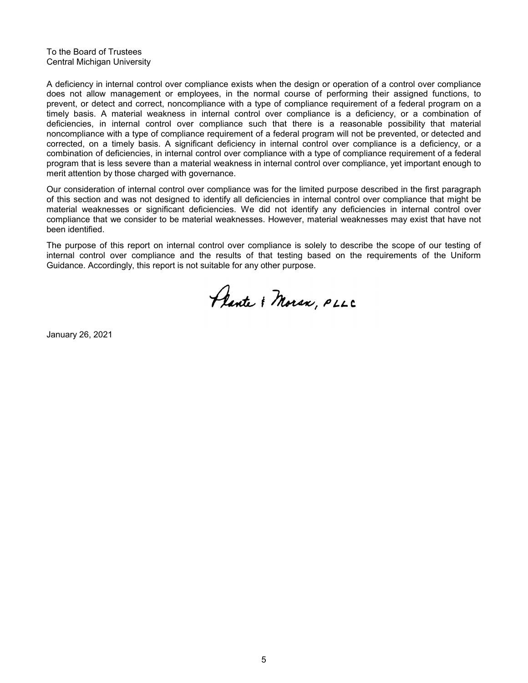To the Board of Trustees Central Michigan University

A deficiency in internal control over compliance exists when the design or operation of a control over compliance does not allow management or employees, in the normal course of performing their assigned functions, to prevent, or detect and correct, noncompliance with a type of compliance requirement of a federal program on a timely basis. A material weakness in internal control over compliance is a deficiency, or a combination of deficiencies, in internal control over compliance such that there is a reasonable possibility that material noncompliance with a type of compliance requirement of a federal program will not be prevented, or detected and corrected, on a timely basis. A significant deficiency in internal control over compliance is a deficiency, or a combination of deficiencies, in internal control over compliance with a type of compliance requirement of a federal program that is less severe than a material weakness in internal control over compliance, yet important enough to merit attention by those charged with governance.

Our consideration of internal control over compliance was for the limited purpose described in the first paragraph of this section and was not designed to identify all deficiencies in internal control over compliance that might be material weaknesses or significant deficiencies. We did not identify any deficiencies in internal control over compliance that we consider to be material weaknesses. However, material weaknesses may exist that have not been identified.

The purpose of this report on internal control over compliance is solely to describe the scope of our testing of internal control over compliance and the results of that testing based on the requirements of the Uniform Guidance. Accordingly, this report is not suitable for any other purpose.

Plante & Moran, PLLC

January 26, 2021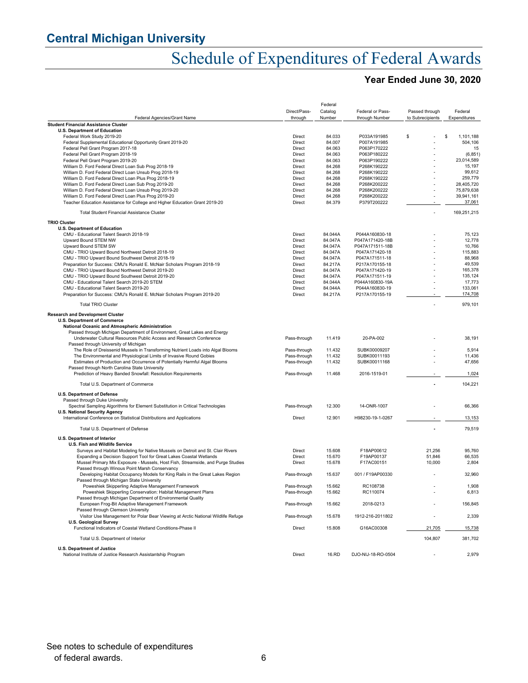# Schedule of Expenditures of Federal Awards

### **Year Ended June 30, 2020**

|                                                                                                                     |                              | Federal          |                            |                          |                    |
|---------------------------------------------------------------------------------------------------------------------|------------------------------|------------------|----------------------------|--------------------------|--------------------|
|                                                                                                                     | Direct/Pass-                 | Catalog          | Federal or Pass-           | Passed through           | Federal            |
| Federal Agencies/Grant Name                                                                                         | through                      | Number           | through Number             | to Subrecipients         | Expenditures       |
| <b>Student Financial Assistance Cluster</b>                                                                         |                              |                  |                            |                          |                    |
| <b>U.S. Department of Education</b>                                                                                 |                              |                  |                            |                          |                    |
| Federal Work Study 2019-20                                                                                          | Direct                       | 84.033           | P033A191985                | \$                       | \$<br>1,101,188    |
| Federal Supplemental Educational Opportunity Grant 2019-20                                                          | Direct<br>Direct             | 84.007<br>84.063 | P007A191985<br>P063P170222 |                          | 504,106            |
| Federal Pell Grant Program 2017-18<br>Federal Pell Grant Program 2018-19                                            | Direct                       | 84.063           | P063P180222                |                          | 15<br>(6, 851)     |
| Federal Pell Grant Program 2019-20                                                                                  | Direct                       | 84.063           | P063P190222                |                          | 23,014,589         |
| William D. Ford Federal Direct Loan Sub Prog 2018-19                                                                | Direct                       | 84.268           | P268K190222                |                          | 15,197             |
| William D. Ford Federal Direct Loan Unsub Prog 2018-19                                                              | Direct                       | 84.268           | P268K190222                |                          | 99,612             |
| William D. Ford Federal Direct Loan Plus Prog 2018-19                                                               | Direct                       | 84.268           | P268K190222                |                          | 259,779            |
| William D. Ford Federal Direct Loan Sub Prog 2019-20                                                                | Direct                       | 84.268           | P268K200222                |                          | 28.405.720         |
| William D. Ford Federal Direct Loan Unsub Prog 2019-20                                                              | Direct                       | 84.268           | P268K200222                |                          | 75,879,638         |
| William D. Ford Federal Direct Loan Plus Prog 2019-20                                                               | Direct                       | 84.268           | P268K200222                |                          | 39,941,161         |
| Teacher Education Assistance for College and Higher Education Grant 2019-20                                         | Direct                       | 84.379           | P379T200222                |                          | 37,061             |
| <b>Total Student Financial Assistance Cluster</b>                                                                   |                              |                  |                            | $\overline{a}$           | 169,251,215        |
| <b>TRIO Cluster</b>                                                                                                 |                              |                  |                            |                          |                    |
| <b>U.S. Department of Education</b>                                                                                 |                              |                  |                            |                          |                    |
| CMU - Educational Talent Search 2018-19                                                                             | Direct                       | 84.044A          | P044A160830-18             |                          | 75,123             |
| Upward Bound STEM NW                                                                                                | Direct                       | 84.047A          | P047A171420-18B            |                          | 12,778             |
| Upward Bound STEM SW                                                                                                | Direct                       | 84.047A          | P047A171511-18B            |                          | 10,766             |
| CMU - TRIO Upward Bound Northwest Detroit 2018-19                                                                   | Direct                       | 84.047A          | P047A171420-18             |                          | 115,883            |
| CMU - TRIO Upward Bound Southwest Detroit 2018-19                                                                   | Direct                       | 84.047A          | P047A171511-18             |                          | 88,968             |
| Preparation for Success: CMU's Ronald E. McNair Scholars Program 2018-19                                            | Direct                       | 84.217A          | P217A170155-18             |                          | 49,539             |
| CMU - TRIO Upward Bound Northwest Detroit 2019-20                                                                   | Direct                       | 84.047A          | P047A171420-19             |                          | 165,378            |
| CMU - TRIO Upward Bound Southwest Detroit 2019-20                                                                   | Direct                       | 84.047A          | P047A171511-19             |                          | 135,124            |
| CMU - Educational Talent Search 2019-20 STEM                                                                        | Direct                       | 84.044A          | P044A160830-19A            |                          | 17,773             |
| CMU - Educational Talent Search 2019-20                                                                             | Direct                       | 84.044A          | P044A160830-19             |                          | 133,061<br>174,708 |
| Preparation for Success: CMU's Ronald E. McNair Scholars Program 2019-20                                            | Direct                       | 84.217A          | P217A170155-19             |                          |                    |
| <b>Total TRIO Cluster</b>                                                                                           |                              |                  |                            |                          | 979,101            |
| <b>Research and Development Cluster</b>                                                                             |                              |                  |                            |                          |                    |
| <b>U.S. Department of Commerce</b>                                                                                  |                              |                  |                            |                          |                    |
| National Oceanic and Atmospheric Administration                                                                     |                              |                  |                            |                          |                    |
| Passed through Michigan Department of Environment, Great Lakes and Energy                                           |                              |                  |                            |                          |                    |
| Underwater Cultural Resources Public Access and Research Conference<br>Passed through University of Michigan        | Pass-through                 | 11.419           | 20-PA-002                  |                          | 38,191             |
| The Role of Dreissenid Mussels in Transforming Nutrient Loads into Algal Blooms                                     | Pass-through                 | 11.432           | SUBK00009207               |                          | 5,914              |
| The Environmental and Physiological Limits of Invasive Round Gobies                                                 | Pass-through                 | 11.432           | SUBK00011193               |                          | 11,436             |
| Estimates of Production and Occurrence of Potentially Harmful Algal Blooms                                          | Pass-through                 | 11.432           | SUBK00011168               |                          | 47,656             |
| Passed through North Carolina State University<br>Prediction of Heavy Banded Snowfall: Resolution Requirements      | Pass-through                 | 11.468           | 2016-1519-01               |                          | 1,024              |
|                                                                                                                     |                              |                  |                            |                          |                    |
| Total U.S. Department of Commerce                                                                                   |                              |                  |                            |                          | 104,221            |
| <b>U.S. Department of Defense</b>                                                                                   |                              |                  |                            |                          |                    |
| Passed through Duke University                                                                                      |                              |                  |                            |                          |                    |
| Spectral Sampling Algorithms for Element Substitution in Critical Technologies                                      | Pass-through                 | 12.300           | 14-ONR-1007                |                          | 66,366             |
| U.S. National Security Agency<br>International Conference on Statistical Distributions and Applications             | Direct                       | 12.901           | H98230-19-1-0267           |                          | 13,153             |
|                                                                                                                     |                              |                  |                            |                          |                    |
| Total U.S. Department of Defense                                                                                    |                              |                  |                            |                          | 79,519             |
| <b>U.S. Department of Interior</b>                                                                                  |                              |                  |                            |                          |                    |
| U.S. Fish and Wildlife Service                                                                                      |                              |                  |                            |                          |                    |
| Surveys and Habitat Modeling for Native Mussels on Detroit and St. Clair Rivers                                     | Direct                       | 15.608           | F18AP00612                 | 21,256                   | 95,760             |
| Expanding a Decision Support Tool for Great Lakes Coastal Wetlands                                                  | Direct                       | 15.670           | F19AP00137                 | 51,846                   | 66,535             |
| Mussel Primary Mix Exposure - Mussels, Host Fish, Streamside, and Purge Studies                                     | Direct                       | 15.678           | F17AC00151                 | 10,000                   | 2,804              |
| Passed through Winous Point Marsh Conservancy                                                                       |                              |                  |                            |                          |                    |
| Developing Habitat Occupancy Models for King Rails in the Great Lakes Region                                        | Pass-through                 | 15.637           | 001 / F19AP00330           |                          | 32,960             |
| Passed through Michigan State University                                                                            |                              |                  |                            |                          |                    |
| Poweshiek Skipperling Adaptive Management Framework<br>Poweshiek Skipperling Conservation: Habitat Management Plans | Pass-through<br>Pass-through | 15.662<br>15.662 | RC108738<br>RC110074       |                          | 1,908<br>6,813     |
| Passed through Michigan Department of Environmental Quality                                                         |                              |                  |                            |                          |                    |
| European Frog-Bit Adaptive Management Framework                                                                     | Pass-through                 | 15.662           | 2018-0213                  |                          | 156,845            |
| Passed through Clemson University                                                                                   |                              |                  |                            |                          |                    |
| Visitor Use Management for Polar Bear Viewing at Arctic National Wildlife Refuge                                    | Pass-through                 | 15.678           | 1912-216-2011802           |                          | 2,339              |
| <b>U.S. Geological Survey</b>                                                                                       |                              |                  |                            |                          |                    |
| Functional Indicators of Coastal Wetland Conditions-Phase II                                                        | Direct                       | 15.808           | G16AC00308                 | 21,705                   | 15,738             |
| Total U.S. Department of Interior                                                                                   |                              |                  |                            | 104,807                  | 381,702            |
|                                                                                                                     |                              |                  |                            |                          |                    |
| <b>U.S. Department of Justice</b><br>National Institute of Justice Research Assistantship Program                   | Direct                       | 16.RD            | DJO-NIJ-18-RO-0504         | $\overline{\phantom{a}}$ | 2,979              |
|                                                                                                                     |                              |                  |                            |                          |                    |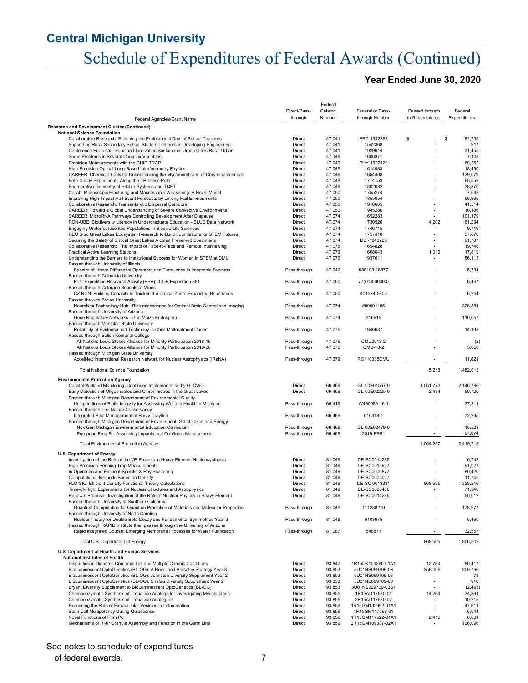# Schedule of Expenditures of Federal Awards (Continued)

### **Year Ended June 30, 2020**

|                                                                                                                                             |                  | Federal          |                                        |                  |                   |
|---------------------------------------------------------------------------------------------------------------------------------------------|------------------|------------------|----------------------------------------|------------------|-------------------|
|                                                                                                                                             | Direct/Pass-     | Catalog          | Federal or Pass-                       | Passed through   | Federal           |
| Federal Agencies/Grant Name                                                                                                                 | through          | Number           | through Number                         | to Subrecipients | Expenditures      |
| Research and Development Cluster (Continued)<br><b>National Science Foundation</b>                                                          |                  |                  |                                        |                  |                   |
| Collaborative Research: Enriching the Professional Dev. of School Teachers                                                                  | Direct           | 47.041           | EEC-1542368                            | \$               | \$<br>82,735      |
| Supporting Rural Secondary School Student Learners in Developing Engineering                                                                | Direct           | 47.041           | 1542368                                |                  | 917               |
| Conference Proposal - Food and Innovation Sustainable Urban Cities Rural-Urban                                                              | Direct           | 47.041           | 1929914                                |                  | 31,455            |
| Some Problems in Several Complex Variables                                                                                                  | Direct           | 47.049           | 1600371                                |                  | 7,108             |
| Precision Measurements with the CHIP-TRAP<br>High-Precision Optical Long-Based Interferometry Physics                                       | Direct<br>Direct | 47.049<br>47.049 | PHY-1607429<br>1614983                 |                  | 69,252<br>18,490  |
| CAREER: Chemical Tools for Understanding the Mycomembrane of Corynebacterineae                                                              | Direct           | 47.049           | 1654408                                |                  | 139,079           |
| Beta-Decay Experiments Along the r-Process Path                                                                                             | Direct           | 47.049           | 1714153                                | $\overline{a}$   | 65,558            |
| Enumerative Geometry of Hitchin Systems and TQFT                                                                                            | Direct           | 47.049           | 1802082                                |                  | 38,870            |
| Collab: Microscopic Fracturing and Macroscopic Weakening: A Novel Model                                                                     | Direct           | 47.050           | 1755274                                |                  | 7,648             |
| Improving High-Impact Hail Event Forecasts by Linking Hail Environments                                                                     | Direct           | 47.050           | 1855054                                | ٠                | 56,966            |
| Collaborative Research: Transantarctic Dispersal Corridors                                                                                  | Direct           | 47.050           | 1916665                                |                  | 41,514            |
| CAREER: Toward a Global Understanding of Severe Convective Environments<br>CAREER: MicroRNA Pathways Controlling Development After Diapause | Direct           | 47.050           | 1945286                                | $\sim$           | 10,186            |
| RCN-UBE: Biodiversity Literacy in Undergraduate Education - BLUE Data Network                                                               | Direct<br>Direct | 47.074<br>47.074 | 1652283<br>1730526                     | 4,202            | 101,179<br>61,234 |
| Engaging Underrepresented Populations in Biodiversity Sciences                                                                              | Direct           | 47.074           | 1746715                                | $\blacksquare$   | 9,719             |
| REU Site: Great Lakes Ecosystem Research to Build Foundations for STEM Futures                                                              | Direct           | 47.074           | 1757418                                |                  | 37,876            |
| Securing the Safety of Critical Great Lakes Alcohol Preserved Specimens                                                                     | Direct           | 47.074           | DBI-1840725                            |                  | 91,787            |
| Collaborative Research: The Impact of Face-to-Face and Remote Interviewing                                                                  | Direct           | 47.075           | 1654828                                |                  | 19,748            |
| <b>Practical Active Learning Stations</b>                                                                                                   | Direct           | 47.076           | 1608043                                | 1,016            | 17,819            |
| Understanding the Barriers to Institutional Success for Women in STEM at CMU                                                                | Direct           | 47.076           | 1937011                                |                  | 86,115            |
| Passed through University of Illinois<br>Spectra of Linear Differential Operators and Turbulence in Integrable Systems                      | Pass-through     | 47.049           | 088193-16877                           |                  | 5,734             |
| Passed through Columbia University                                                                                                          |                  |                  |                                        |                  |                   |
| Post-Expedition Research Activity (PEA), IODP Expedition 381                                                                                | Pass-through     | 47.050           | 77(GG009393)                           |                  | 6,467             |
| Passed through Colorado Schools of Mines                                                                                                    |                  |                  |                                        |                  |                   |
| CZ RCN: Building Capacity to Thicken the Critical Zone: Expanding Boundaries                                                                | Pass-through     | 47.050           | 401574-5802                            |                  | 6,254             |
| Passed through Brown University                                                                                                             |                  |                  |                                        |                  |                   |
| NeuroNex Technology Hub: Bioluminescence for Optimal Brain Control and Imaging                                                              | Pass-through     | 47.074           | #00001106                              |                  | 326,584           |
| Passed through University of Arizona                                                                                                        |                  |                  |                                        |                  |                   |
| Gene Regulatory Networks in the Maize Endosperm<br>Passed through Montclair State University                                                | Pass-through     | 47.074           | 316615                                 |                  | 110,057           |
| Reliability of Evidence and Testimony in Child Maltreatment Cases                                                                           | Pass-through     | 47.075           | 1946687                                |                  | 14,193            |
| Passed through Salish Kootenai College                                                                                                      |                  |                  |                                        |                  |                   |
| All Nations Louis Stokes Alliance for Minority Participation 2018-19                                                                        | Pass-through     | 47.076           | CMU2018-2                              |                  | (2)               |
| All Nations Louis Stokes Alliance for Minority Participation 2019-20                                                                        | Pass-through     | 47.076           | CMU-18-2                               |                  | 5,650             |
| Passed through Michigan State University                                                                                                    |                  |                  |                                        |                  |                   |
| AccelNet: International Research Network for Nuclear Astrophysics (IReNA)                                                                   | Pass-through     | 47.079           | RC110338CMU                            | $\sim$           | 11,821            |
| <b>Total National Science Foundation</b>                                                                                                    |                  |                  |                                        | 5,218            | 1,482,013         |
|                                                                                                                                             |                  |                  |                                        |                  |                   |
| <b>Environmental Protection Agency</b><br>Coastal Wetland Monitoring: Continued Implementation by GLCWC                                     | Direct           | 66.469           | GL-00E01567-0                          | 1,061,773        | 2,146,796         |
| Early Detection of Oligochaetes and Chironmidaes in the Great Lakes                                                                         | Direct           | 66.469           | GL-00E02225-0                          | 2,484            | 50,720            |
| Passed through Michigan Department of Environmental Quality                                                                                 |                  |                  |                                        |                  |                   |
| Using Indices of Biotic Integrity for Assessing Wetland Health in Michigan                                                                  | Pass-through     | 66.419           | W490089-16-1                           |                  | 37,311            |
| Passed through The Nature Conservancy                                                                                                       |                  |                  |                                        |                  |                   |
| Integrated Pest Management of Rusty Crayfish                                                                                                | Pass-through     | 66.469           | 010318-1                               |                  | 72,295            |
| Passed through Michigan Department of Environment, Great Lakes and Energy                                                                   |                  |                  |                                        |                  |                   |
| Nex Gen Michigan Environmental Education Curriculum                                                                                         | Pass-through     | 66.469           | GL-00E02479-0                          |                  | 15,523<br>97,074  |
| European Frog-Bit: Assessing Impacts and On-Going Management                                                                                | Pass-through     | 66.469           | 2019-EFB1                              |                  |                   |
| <b>Total Environmental Protection Agency</b>                                                                                                |                  |                  |                                        | 1,064,257        | 2,419,719         |
|                                                                                                                                             |                  |                  |                                        |                  |                   |
| <b>U.S. Department of Energy</b><br>Investigation of the Role of the VP-Process in Heavy Element Nucleosynthesis                            | Direct           | 81.049           | DE-SC0014285                           |                  | 6,742             |
| High-Precision Penning Trap Measurements                                                                                                    | Direct           | 81.049           | DE-SC0015927                           |                  | 91,027            |
| In Operando and Element Specific X-Ray Scattering                                                                                           | Direct           | 81.049           | DE-SC0006877                           |                  | 80,420            |
| Computational Methods Based on Density                                                                                                      | Direct           | 81.049           | DE-SC0005027                           |                  | 11,745            |
| FLO-SIC: Efficient Density Functional Theory Calculations                                                                                   | Direct           | 81.049           | DE-SC 0018331                          | 868,505          | 1,328,216         |
| Time-of-Flight Experiments for Nuclear Structures and Astrophysics                                                                          | Direct           | 81.049           | DE-SC0020406                           |                  | 71,346            |
| Renewal Proposal: Investigation of the Role of Nuclear Physics in Heavy Element                                                             | Direct           | 81.049           | DE-SC0014285                           |                  | 50,012            |
| Passed through University of Southern California                                                                                            |                  |                  |                                        |                  |                   |
| Quantum Computation for Quantum Prediction of Materials and Molecular Properties                                                            | Pass-through     | 81.049           | 111238210                              |                  | 178,977           |
| Passed through University of North Carolina<br>Nuclear Theory for Double-Beta Decay and Fundamental Symmetries Year 3                       | Pass-through     | 81.049           | 5103975                                |                  | 5,460             |
| Passed through RAPID Institute then passed through the University of Arizona                                                                |                  |                  |                                        |                  |                   |
| Rapid Integrated Course: Emerging Membrane Processes for Water Purification                                                                 | Pass-through     | 81.087           | 548871                                 |                  | 32,557            |
|                                                                                                                                             |                  |                  |                                        |                  |                   |
| Total U.S. Department of Energy                                                                                                             |                  |                  |                                        | 868,505          | 1.856.502         |
| U.S. Department of Health and Human Services                                                                                                |                  |                  |                                        |                  |                   |
| <b>National Institutes of Health</b>                                                                                                        |                  |                  |                                        |                  |                   |
| Disparities in Diabetes Comorbidities and Multiple Chronic Conditions                                                                       | Direct           | 93.847           | 1R15DK104260-01A1                      | 12,784           | 80,417            |
| BioLuminescent OptoGenetics (BL-OG): A Novel and Versatile Strategy Year 3                                                                  | Direct           | 93.853           | 5U01NS099709-03                        | 256,006          | 209,796           |
| BioLuminescent OptoGenetics (BL-OG): Johnston Diversity Supplement Year 2                                                                   | Direct           | 93.853           | 5U01NS099709-03                        |                  | 78                |
| BioLuminescent OptoGenetics (BL-OG): Shafau Diversity Supplement Year 2                                                                     | Direct           | 93.853           | 5U01NS099709-03                        | $\frac{1}{2}$    | 910               |
| Bryant Diversity Supplement to BioLuminescent OptoGenetics (BL-OG)                                                                          | Direct           | 93.853           | 3U01NS099709-03S1                      |                  | (2, 493)          |
| Chemoenzymatic Synthesis of Trehalose Analogs for Investigating Mycobacteria                                                                | Direct           | 93.855           | 1R15AI117670-01                        | 14,264           | 34,861            |
| Chemoenzymatic Synthesis of Trehalose Analogues                                                                                             | Direct           | 93.855           | 2R15AI117670-02                        |                  | 10,215            |
| Examining the Role of Extracellular Vesicles in Inflammation                                                                                | Direct           | 93.859           | 1R15GM132992-01A1                      | $\blacksquare$   | 47,611            |
| Stem Cell Multipotency During Quiescence<br>Novel Functions of Prim Pol                                                                     | Direct           | 93.859           | 1R15GM117568-01                        |                  | 6,644<br>8,831    |
| Mechanisms of RNP Granule Assembly and Function in the Germ Line                                                                            | Direct<br>Direct | 93.859<br>93.859 | 1R15GM117522-01A1<br>2R15GM109337-02A1 | 2,410            | 126,096           |
|                                                                                                                                             |                  |                  |                                        |                  |                   |

### See notes to schedule of expenditures

#### of federal awards. 7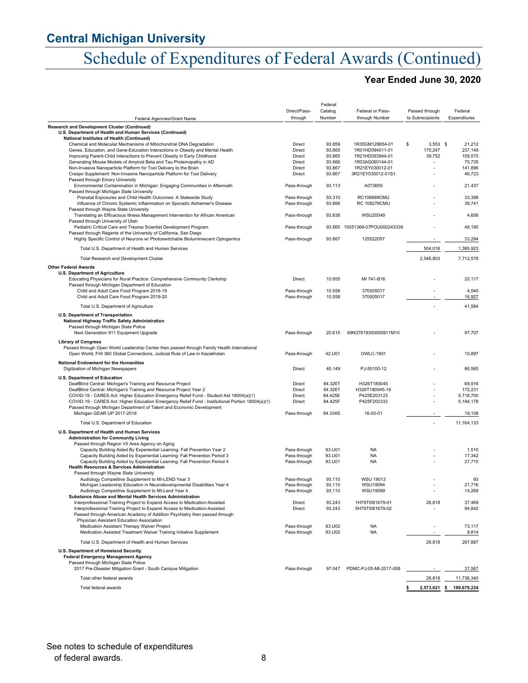# Schedule of Expenditures of Federal Awards (Continued)

### **Year Ended June 30, 2020**

|                                                                                                                                                                                                         |                         | Federal            |                                    |                                    |                          |
|---------------------------------------------------------------------------------------------------------------------------------------------------------------------------------------------------------|-------------------------|--------------------|------------------------------------|------------------------------------|--------------------------|
|                                                                                                                                                                                                         | Direct/Pass-<br>through | Catalog<br>Number  | Federal or Pass-<br>through Number | Passed through<br>to Subrecipients | Federal<br>Expenditures  |
| Federal Agencies/Grant Name<br>Research and Development Cluster (Continued)                                                                                                                             |                         |                    |                                    |                                    |                          |
| U.S. Department of Health and Human Services (Continued)<br>National Institutes of Health (Continued)                                                                                                   |                         |                    |                                    |                                    |                          |
| Chemical and Molecular Mechanisms of Mitochondrial DNA Degradation                                                                                                                                      | Direct                  | 93.859             | 1R35GM128854-01                    | \$<br>$3,553$ \$                   | 21,212                   |
| Genes, Education, and Gene-Education Interactions in Obesity and Mental Health                                                                                                                          | Direct                  | 93.865             | 1R01HD094011-01                    | 175,247                            | 237,149                  |
| Improving Parent-Child Interactions to Prevent Obesity in Early Childhood<br>Generating Mouse Models of Amyloid Beta and Tau Proteinopathy in AD                                                        | Direct<br>Direct        | 93.865<br>93.866   | 1R21HD093944-01<br>1R03AG060144-01 | 39,752                             | 159,575<br>75,735        |
| Non-Invasive Nanoparticle Platform for Tool Delivery to the Brain                                                                                                                                       | Direct                  | 93.867             | 1R21EY030012-01                    | ÷,                                 | 141,896                  |
| Crespo Supplement: Non-Invasive Nanoparticle Platform for Tool Delivery                                                                                                                                 | Direct                  | 93.867             | 3R21EY030012-01S1                  |                                    | 46,723                   |
| Passed through Emory University                                                                                                                                                                         |                         |                    |                                    |                                    |                          |
| Environmental Contamination in Michigan: Engaging Communities in Aftermath<br>Passed through Michigan State University                                                                                  | Pass-through            | 93.113             | A073659                            |                                    | 21,437                   |
| Prenatal Exposures and Child Health Outcomes: A Statewide Study                                                                                                                                         | Pass-through            | 93.310             | RC108889CMU                        |                                    | 33,399                   |
| Influence of Chronic Systemic Inflammation on Sporadic Alzheimer's Disease                                                                                                                              | Pass-through            | 93.866             | <b>RC 108278CMU</b>                |                                    | 39,741                   |
| Passed through Wayne State University<br>Translating an Efficacious Illness Management Intervention for African American                                                                                | Pass-through            | 93.838             | <b>WSU20049</b>                    |                                    | 4,606                    |
| Passed through University of Utah                                                                                                                                                                       |                         |                    |                                    |                                    |                          |
| Pediatric Critical Care and Trauma Scientist Development Program                                                                                                                                        | Pass-through            | 93.865             | 10051369-07POU000243339            |                                    | 48,190                   |
| Passed through Regents of the University of California, San Diego                                                                                                                                       |                         |                    |                                    |                                    |                          |
| Highly Specific Control of Neurons w/ Photoswitchable Bioluminescent Optogentics                                                                                                                        | Pass-through            | 93.867             | 125522057                          |                                    | 33,294                   |
| Total U.S. Department of Health and Human Services                                                                                                                                                      |                         |                    |                                    | 504,016                            | 1,385,923                |
| Total Research and Development Cluster                                                                                                                                                                  |                         |                    |                                    | 2,546,803                          | 7,712,578                |
| <b>Other Federal Awards</b>                                                                                                                                                                             |                         |                    |                                    |                                    |                          |
| U.S. Department of Agriculture<br>Educating Physicians for Rural Practice: Comprehensive Community Clerkship                                                                                            | Direct                  | 10.855             | MI 741-B16                         |                                    | 20,117                   |
| Passed through Michigan Department of Education                                                                                                                                                         |                         |                    |                                    |                                    |                          |
| Child and Adult Care Food Program 2018-19                                                                                                                                                               | Pass-through            | 10.558             | 370005017                          |                                    | 4,540                    |
| Child and Adult Care Food Program 2019-20                                                                                                                                                               | Pass-through            | 10.558             | 370005017                          |                                    | 16,927                   |
| Total U.S. Department of Agriculture                                                                                                                                                                    |                         |                    |                                    |                                    | 41,584                   |
| U.S. Department of Transportation                                                                                                                                                                       |                         |                    |                                    |                                    |                          |
| National Highway Traffic Safety Administration                                                                                                                                                          |                         |                    |                                    |                                    |                          |
| Passed through Michigan State Police<br>Next Generation 911 Equipment Upgrade                                                                                                                           | Pass-through            | 20.615             | 69N37619300000911M10               |                                    | 97,707                   |
|                                                                                                                                                                                                         |                         |                    |                                    |                                    |                          |
| <b>Library of Congress</b><br>Passed through Open World Leadership Center then passed through Family Health International<br>Open World, FHI 360 Global Connections, Judicial Rule of Law in Kazakhstan | Pass-through            | 42.U01             | OWLC-1901                          |                                    | 10,897                   |
| National Endowment for the Humanities                                                                                                                                                                   |                         |                    |                                    |                                    |                          |
| Digitization of Michigan Newspapers                                                                                                                                                                     | Direct                  | 45.149             | PJ-50100-12                        |                                    | 86,565                   |
| U.S. Department of Education                                                                                                                                                                            |                         |                    |                                    |                                    |                          |
| DeafBlind Central: Michigan's Training and Resource Project                                                                                                                                             | Direct                  | 84.326T            | H326T180045                        |                                    | 69,916                   |
| DeafBlind Central: Michigan's Training and Resource Project Year 2<br>COVID-19 - CARES Act: Higher Education Emergency Relief Fund - Student Aid 18004(a)(1)                                            | Direct<br>Direct        | 84.326T<br>84.425E | H326T180045-19<br>P425E203123      | $\overline{\phantom{a}}$           | 172,231<br>5,718,700     |
| COVID-19 - CARES Act: Higher Education Emergency Relief Fund - Institutional Portion 18004(a)(1)                                                                                                        | Direct                  | 84.425F            | P425F202333                        |                                    | 5,184,178                |
| Passed through Michigan Department of Talent and Economic Development                                                                                                                                   |                         |                    |                                    |                                    |                          |
| Michigan GEAR UP 2017-2018                                                                                                                                                                              | Pass-through            | 84.334S            | 16-00-01                           |                                    | 19,108                   |
| Total U.S. Department of Education                                                                                                                                                                      |                         |                    |                                    | ٠                                  | 11, 164, 133             |
| U.S. Department of Health and Human Services                                                                                                                                                            |                         |                    |                                    |                                    |                          |
| <b>Administration for Community Living</b>                                                                                                                                                              |                         |                    |                                    |                                    |                          |
| Passed through Region VII Area Agency on Aging<br>Capacity Building Aided By Experiential Learning: Fall Prevention Year 2                                                                              | Pass-through            | 93.U01             | <b>NA</b>                          |                                    | 1,510                    |
| Capacity Building Aided by Experiential Learning: Fall Prevention Period 3                                                                                                                              | Pass-through            | 93.U01             | <b>NA</b>                          |                                    | 17,342                   |
| Capacity Building Aided by Experiential Learning: Fall Prevention Period 4                                                                                                                              | Pass-through            | 93.U01             | <b>NA</b>                          |                                    | 27,715                   |
| <b>Health Resources &amp; Services Administration</b>                                                                                                                                                   |                         |                    |                                    |                                    |                          |
| Passed through Wayne State University<br>Audiology Competitive Supplement to MI-LEND Year 3                                                                                                             | Pass-through            | 93.110             | <b>WSU 19013</b>                   |                                    | 93                       |
| Michigan Leadership Education in Neurodevelopmental Disabilities Year 4                                                                                                                                 | Pass-through            | 93.110             | WSU19094                           |                                    | 21,716                   |
| Audiology Competitive Supplement to MI-Lend Year 4                                                                                                                                                      | Pass-through            | 93.110             | WSU19099                           |                                    | 14,269                   |
| Substance Abuse and Mental Health Services Administration                                                                                                                                               |                         |                    | 1H79TI081679-01                    |                                    |                          |
| Interprofessional Training Project to Expand Access to Medication-Assisted<br>Interprofessional Training Project to Expand Access to Medication-Assisted                                                | Direct<br>Direct        | 93.243<br>93.243   | 5H79TI081679-02                    | 26,818                             | 37,469<br>94,842         |
| Passed through American Academy of Addition Psychiatry then passed through                                                                                                                              |                         |                    |                                    |                                    |                          |
| Physician Assistant Education Association                                                                                                                                                               |                         |                    |                                    |                                    |                          |
| Medication Assistant Therapy Waiver Project                                                                                                                                                             | Pass-through            | 93.U02<br>93.U02   | <b>NA</b><br><b>NA</b>             |                                    | 73,117                   |
| Medication Assisted Treatment Waiver Training Initiative Supplement                                                                                                                                     | Pass-through            |                    |                                    |                                    | 9,814                    |
| Total U.S. Department of Health and Human Services                                                                                                                                                      |                         |                    |                                    | 26,818                             | 297,887                  |
| U.S. Department of Homeland Security<br><b>Federal Emergency Management Agency</b>                                                                                                                      |                         |                    |                                    |                                    |                          |
| Passed through Michigan State Police                                                                                                                                                                    |                         |                    |                                    |                                    |                          |
| 2017 Pre-Disaster Mitigation Grant - South Campus Mitigation                                                                                                                                            | Pass-through            | 97.047             | PDMC-PJ-05-MI-2017-008             |                                    | 37,567                   |
| Total other federal awards                                                                                                                                                                              |                         |                    |                                    | 26,818                             | 11,736,340               |
| Total federal awards                                                                                                                                                                                    |                         |                    |                                    | \$                                 | 2,573,621 \$ 189,679,234 |
|                                                                                                                                                                                                         |                         |                    |                                    |                                    |                          |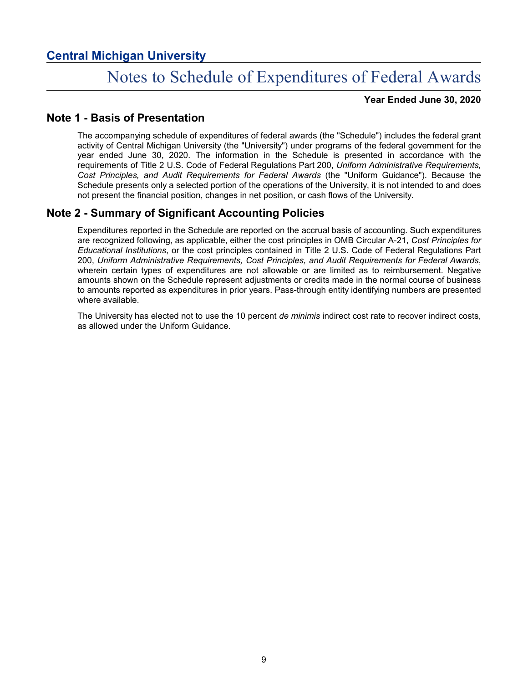# Notes to Schedule of Expenditures of Federal Awards

**Year Ended June 30, 2020**

### **Note 1 - Basis of Presentation**

The accompanying schedule of expenditures of federal awards (the "Schedule") includes the federal grant activity of Central Michigan University (the "University") under programs of the federal government for the year ended June 30, 2020. The information in the Schedule is presented in accordance with the requirements of Title 2 U.S. Code of Federal Regulations Part 200, *Uniform Administrative Requirements, Cost Principles, and Audit Requirements for Federal Awards* (the "Uniform Guidance"). Because the Schedule presents only a selected portion of the operations of the University, it is not intended to and does not present the financial position, changes in net position, or cash flows of the University.

## **Note 2 - Summary of Significant Accounting Policies**

Expenditures reported in the Schedule are reported on the accrual basis of accounting. Such expenditures are recognized following, as applicable, either the cost principles in OMB Circular A-21, *Cost Principles for Educational Institutions*, or the cost principles contained in Title 2 U.S. Code of Federal Regulations Part 200, *Uniform Administrative Requirements, Cost Principles, and Audit Requirements for Federal Awards*, wherein certain types of expenditures are not allowable or are limited as to reimbursement. Negative amounts shown on the Schedule represent adjustments or credits made in the normal course of business to amounts reported as expenditures in prior years. Pass-through entity identifying numbers are presented where available.

The University has elected not to use the 10 percent *de minimis* indirect cost rate to recover indirect costs, as allowed under the Uniform Guidance.